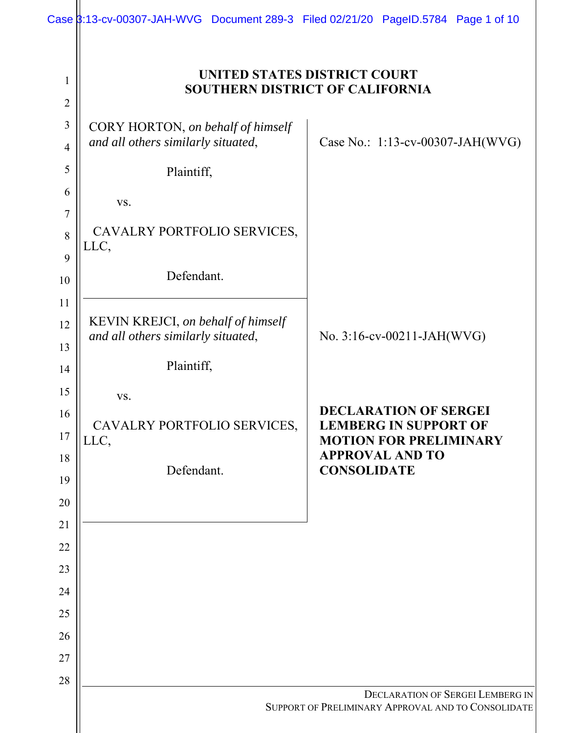|                                | Case 3:13-cv-00307-JAH-WVG Document 289-3 Filed 02/21/20 PageID.5784 Page 1 of 10 |                                                                                                                         |  |  |  |
|--------------------------------|-----------------------------------------------------------------------------------|-------------------------------------------------------------------------------------------------------------------------|--|--|--|
| $\mathbf{1}$<br>$\overline{2}$ | UNITED STATES DISTRICT COURT<br><b>SOUTHERN DISTRICT OF CALIFORNIA</b>            |                                                                                                                         |  |  |  |
| 3<br>$\overline{4}$            | CORY HORTON, on behalf of himself<br>and all others similarly situated,           | Case No.: 1:13-cv-00307-JAH(WVG)                                                                                        |  |  |  |
| 5<br>6                         | Plaintiff,                                                                        |                                                                                                                         |  |  |  |
| $\overline{7}$<br>8            | VS.<br>CAVALRY PORTFOLIO SERVICES,                                                |                                                                                                                         |  |  |  |
| 9                              | LLC,<br>Defendant.                                                                |                                                                                                                         |  |  |  |
| 10<br>11                       |                                                                                   |                                                                                                                         |  |  |  |
| 12<br>13                       | KEVIN KREJCI, on behalf of himself<br>and all others similarly situated,          | No. 3:16-cv-00211-JAH(WVG)                                                                                              |  |  |  |
| 14<br>15                       | Plaintiff,                                                                        |                                                                                                                         |  |  |  |
| 16<br>17                       | VS.<br>CAVALRY PORTFOLIO SERVICES,<br>LLC,                                        | <b>DECLARATION OF SERGEI</b><br><b>LEMBERG IN SUPPORT OF</b><br><b>MOTION FOR PRELIMINARY</b><br><b>APPROVAL AND TO</b> |  |  |  |
| 18<br>19                       | Defendant.                                                                        | <b>CONSOLIDATE</b>                                                                                                      |  |  |  |
| 20<br>21                       |                                                                                   |                                                                                                                         |  |  |  |
| 22                             |                                                                                   |                                                                                                                         |  |  |  |
| 23                             |                                                                                   |                                                                                                                         |  |  |  |
| 24<br>25                       |                                                                                   |                                                                                                                         |  |  |  |
| 26                             |                                                                                   |                                                                                                                         |  |  |  |
| 27<br>28                       |                                                                                   |                                                                                                                         |  |  |  |
|                                |                                                                                   | <b>DECLARATION OF SERGEI LEMBERG IN</b><br>SUPPORT OF PRELIMINARY APPROVAL AND TO CONSOLIDATE                           |  |  |  |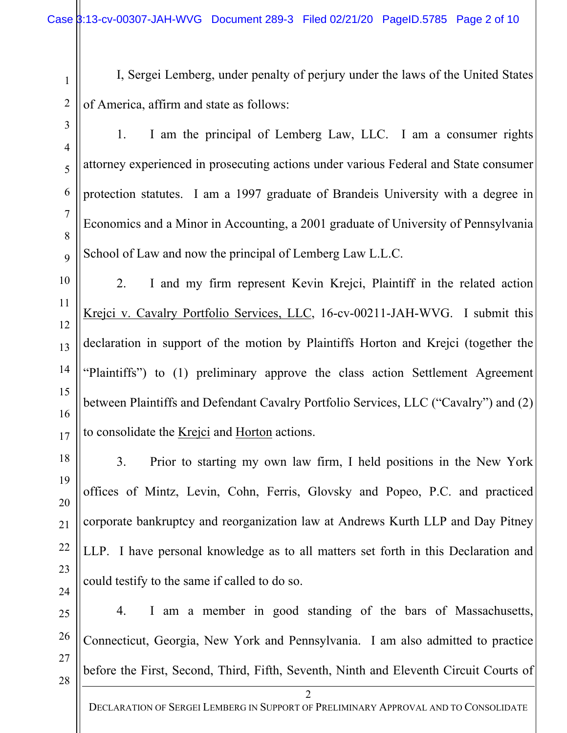I, Sergei Lemberg, under penalty of perjury under the laws of the United States of America, affirm and state as follows:

1. I am the principal of Lemberg Law, LLC. I am a consumer rights attorney experienced in prosecuting actions under various Federal and State consumer protection statutes. I am a 1997 graduate of Brandeis University with a degree in Economics and a Minor in Accounting, a 2001 graduate of University of Pennsylvania School of Law and now the principal of Lemberg Law L.L.C.

2. I and my firm represent Kevin Krejci, Plaintiff in the related action Krejci v. Cavalry Portfolio Services, LLC, 16-cv-00211-JAH-WVG. I submit this declaration in support of the motion by Plaintiffs Horton and Krejci (together the "Plaintiffs") to (1) preliminary approve the class action Settlement Agreement between Plaintiffs and Defendant Cavalry Portfolio Services, LLC ("Cavalry") and (2) to consolidate the Krejci and Horton actions.

3. Prior to starting my own law firm, I held positions in the New York offices of Mintz, Levin, Cohn, Ferris, Glovsky and Popeo, P.C. and practiced corporate bankruptcy and reorganization law at Andrews Kurth LLP and Day Pitney LLP. I have personal knowledge as to all matters set forth in this Declaration and could testify to the same if called to do so.

4. I am a member in good standing of the bars of Massachusetts, Connecticut, Georgia, New York and Pennsylvania. I am also admitted to practice before the First, Second, Third, Fifth, Seventh, Ninth and Eleventh Circuit Courts of

 $\overline{1}$ 

1

 $\overline{a}$ 

2

 $\overline{a}$ 

3

 $\overline{4}$ 

4

 $\overline{a}$ 

5

6

6

 $\overline{a}$ 

7

 $\overline{a}$ 

8

 $\overline{a}$ 

9

 $\frac{1}{2}$ 

10

|<br>|-<br>|-

11

 $\frac{1}{2}$ 

12

 $\frac{1}{2}$ 

13

 $\frac{1}{2}$ 

14

 $\frac{1}{2}$ 

15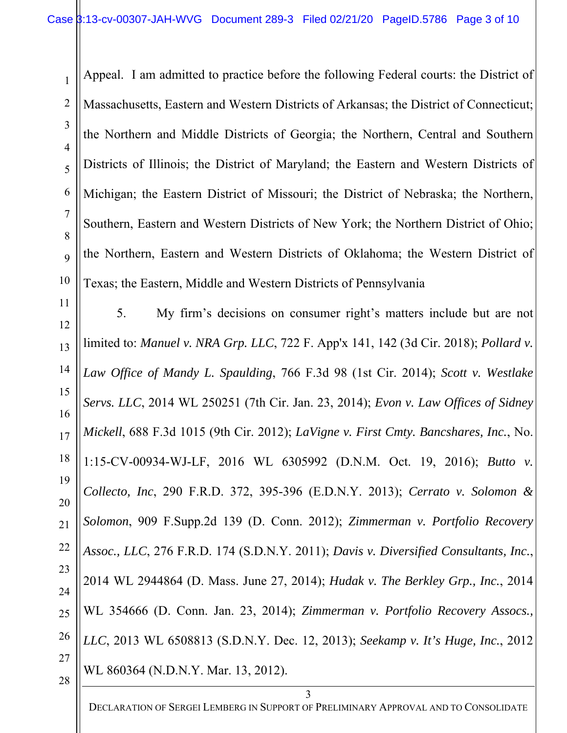Appeal. I am admitted to practice before the following Federal courts: the District of Massachusetts, Eastern and Western Districts of Arkansas; the District of Connecticut; the Northern and Middle Districts of Georgia; the Northern, Central and Southern Districts of Illinois; the District of Maryland; the Eastern and Western Districts of Michigan; the Eastern District of Missouri; the District of Nebraska; the Northern, Southern, Eastern and Western Districts of New York; the Northern District of Ohio; the Northern, Eastern and Western Districts of Oklahoma; the Western District of Texas; the Eastern, Middle and Western Districts of Pennsylvania

 $\frac{1}{2}$  $\frac{1}{2}$  $\frac{1}{2}$  $\frac{1}{2}$  $\frac{1}{2}$  $\frac{1}{2}$  $\frac{1}{2}$  $\frac{1}{2}$  $\overline{2}$  $\overline{1}$  $\overline{2}$  $\overline{a}$  $\overline{a}$  $\overline{a}$  $\overline{a}$  $\overline{a}$ 11 12 13 14 15 16 17 18 19 20 21 22 23 24 25 26 27 5. My firm's decisions on consumer right's matters include but are not limited to: *Manuel v. NRA Grp. LLC*, 722 F. App'x 141, 142 (3d Cir. 2018); *Pollard v. Law Office of Mandy L. Spaulding*, 766 F.3d 98 (1st Cir. 2014); *Scott v. Westlake Servs. LLC*, 2014 WL 250251 (7th Cir. Jan. 23, 2014); *Evon v. Law Offices of Sidney Mickell*, 688 F.3d 1015 (9th Cir. 2012); *LaVigne v. First Cmty. Bancshares, Inc.*, No. 1:15-CV-00934-WJ-LF, 2016 WL 6305992 (D.N.M. Oct. 19, 2016); *Butto v. Collecto, Inc*, 290 F.R.D. 372, 395-396 (E.D.N.Y. 2013); *Cerrato v. Solomon & Solomon*, 909 F.Supp.2d 139 (D. Conn. 2012); *Zimmerman v. Portfolio Recovery Assoc., LLC*, 276 F.R.D. 174 (S.D.N.Y. 2011); *Davis v. Diversified Consultants, Inc.*, 2014 WL 2944864 (D. Mass. June 27, 2014); *Hudak v. The Berkley Grp., Inc.*, 2014 WL 354666 (D. Conn. Jan. 23, 2014); *Zimmerman v. Portfolio Recovery Assocs., LLC*, 2013 WL 6508813 (S.D.N.Y. Dec. 12, 2013); *Seekamp v. It's Huge, Inc.*, 2012 WL 860364 (N.D.N.Y. Mar. 13, 2012).

 $\overline{1}$ 

1

 $\overline{a}$ 

2

 $\overline{a}$ 

3

 $\overline{4}$ 

4

 $\overline{a}$ 

5

6

6

 $\overline{a}$ 

7

 $\overline{a}$ 

8

 $\overline{a}$ 

9

 $\frac{1}{2}$ 

10

|<br>|-<br>|-

DECLARATION OF SERGEI LEMBERG IN SUPPORT OF PRELIMINARY APPROVAL AND TO CONSOLIDATE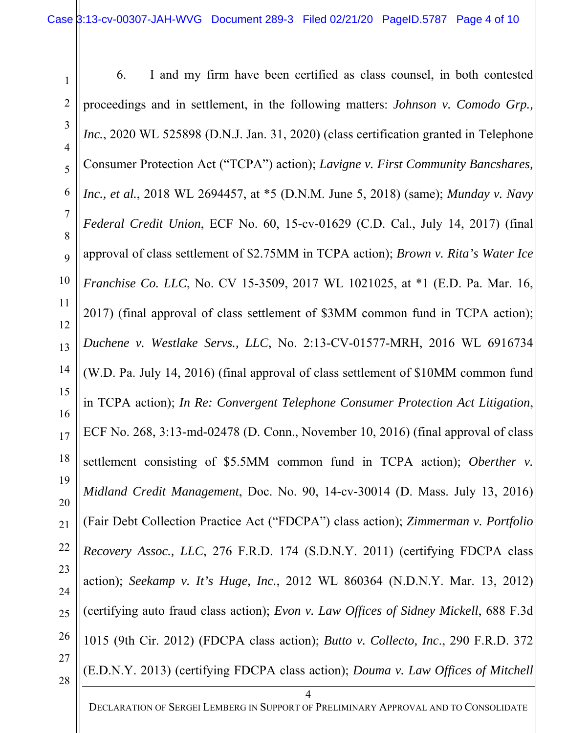$\overline{a}$  $\overline{a}$  $\overline{4}$  $\overline{a}$ 6  $\overline{a}$  $\overline{a}$  $\overline{a}$  $\frac{1}{2}$ |<br>|-<br>|- $\frac{1}{2}$  $\frac{1}{2}$  $\frac{1}{2}$  $\frac{1}{2}$  $\frac{1}{2}$  $\frac{1}{2}$  $\frac{1}{2}$  $\frac{1}{2}$  $\overline{2}$  $\overline{1}$  $\overline{2}$  $\overline{a}$  $\overline{a}$  $\overline{a}$  $\overline{a}$  $\overline{a}$  $\overline{1}$ 1 2 3 4 5 6 7 8 9 10 11 12 13 14 15 16 17 18 19 20 21 22 23 24 25 26 27 28

 $\overline{1}$ 

4 6. I and my firm have been certified as class counsel, in both contested proceedings and in settlement, in the following matters: *Johnson v. Comodo Grp., Inc.*, 2020 WL 525898 (D.N.J. Jan. 31, 2020) (class certification granted in Telephone Consumer Protection Act ("TCPA") action); *Lavigne v. First Community Bancshares, Inc., et al.*, 2018 WL 2694457, at \*5 (D.N.M. June 5, 2018) (same); *Munday v. Navy Federal Credit Union*, ECF No. 60, 15-cv-01629 (C.D. Cal., July 14, 2017) (final approval of class settlement of \$2.75MM in TCPA action); *Brown v. Rita's Water Ice Franchise Co. LLC*, No. CV 15-3509, 2017 WL 1021025, at \*1 (E.D. Pa. Mar. 16, 2017) (final approval of class settlement of \$3MM common fund in TCPA action); *Duchene v. Westlake Servs., LLC*, No. 2:13-CV-01577-MRH, 2016 WL 6916734 (W.D. Pa. July 14, 2016) (final approval of class settlement of \$10MM common fund in TCPA action); *In Re: Convergent Telephone Consumer Protection Act Litigation*, ECF No. 268, 3:13-md-02478 (D. Conn., November 10, 2016) (final approval of class settlement consisting of \$5.5MM common fund in TCPA action); *Oberther v. Midland Credit Management*, Doc. No. 90, 14-cv-30014 (D. Mass. July 13, 2016) (Fair Debt Collection Practice Act ("FDCPA") class action); *Zimmerman v. Portfolio Recovery Assoc., LLC*, 276 F.R.D. 174 (S.D.N.Y. 2011) (certifying FDCPA class action); *Seekamp v. It's Huge, Inc.*, 2012 WL 860364 (N.D.N.Y. Mar. 13, 2012) (certifying auto fraud class action); *Evon v. Law Offices of Sidney Mickell*, 688 F.3d 1015 (9th Cir. 2012) (FDCPA class action); *Butto v. Collecto, Inc*., 290 F.R.D. 372 (E.D.N.Y. 2013) (certifying FDCPA class action); *Douma v. Law Offices of Mitchell* 

DECLARATION OF SERGEI LEMBERG IN SUPPORT OF PRELIMINARY APPROVAL AND TO CONSOLIDATE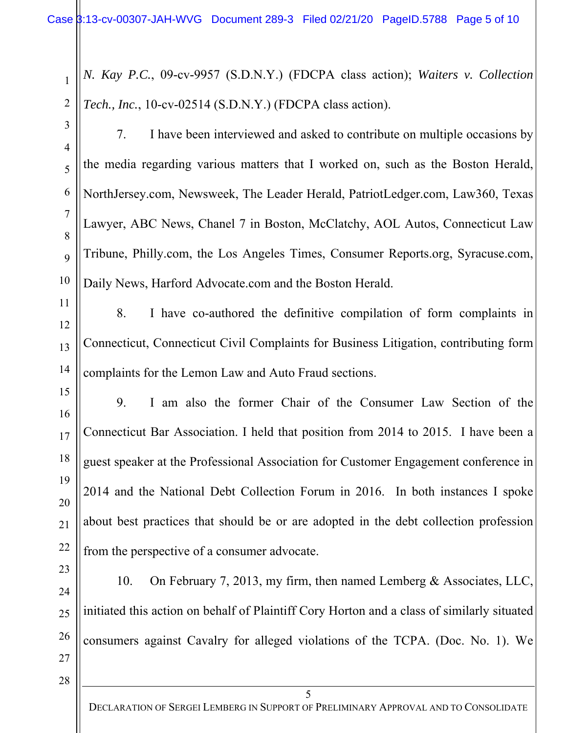*N. Kay P.C.*, 09-cv-9957 (S.D.N.Y.) (FDCPA class action); *Waiters v. Collection Tech., Inc.*, 10-cv-02514 (S.D.N.Y.) (FDCPA class action).

 $\overline{1}$ 

1

 $\overline{a}$ 

2

 $\overline{a}$ 

3

 $\overline{4}$ 

4

 $\overline{a}$ 

5

6

6

 $\overline{a}$ 

7

 $\overline{a}$ 

8

 $\overline{a}$ 

9

 $\frac{1}{2}$ 

10

|<br>|-<br>|-

7. I have been interviewed and asked to contribute on multiple occasions by the media regarding various matters that I worked on, such as the Boston Herald, NorthJersey.com, Newsweek, The Leader Herald, PatriotLedger.com, Law360, Texas Lawyer, ABC News, Chanel 7 in Boston, McClatchy, AOL Autos, Connecticut Law Tribune, Philly.com, the Los Angeles Times, Consumer Reports.org, Syracuse.com, Daily News, Harford Advocate.com and the Boston Herald.

 $\frac{1}{2}$  $\frac{1}{2}$  $\frac{1}{2}$ 11 12 13

 $\frac{1}{2}$ 

15

14

 $\frac{1}{2}$ 

16

 $\frac{1}{2}$ 

17

 $\frac{1}{2}$ 

18

 $\frac{1}{2}$ 

19

 $\overline{2}$ 

20

 $\overline{1}$ 

21

 $\overline{2}$ 

22

 $\overline{a}$ 

23

 $\overline{a}$ 

24

 $\overline{a}$ 

25

 $\overline{a}$ 

26

 $\overline{a}$ 

8. I have co-authored the definitive compilation of form complaints in Connecticut, Connecticut Civil Complaints for Business Litigation, contributing form complaints for the Lemon Law and Auto Fraud sections.

9. I am also the former Chair of the Consumer Law Section of the Connecticut Bar Association. I held that position from 2014 to 2015. I have been a guest speaker at the Professional Association for Customer Engagement conference in 2014 and the National Debt Collection Forum in 2016. In both instances I spoke about best practices that should be or are adopted in the debt collection profession from the perspective of a consumer advocate.

10. On February 7, 2013, my firm, then named Lemberg & Associates, LLC, initiated this action on behalf of Plaintiff Cory Horton and a class of similarly situated consumers against Cavalry for alleged violations of the TCPA. (Doc. No. 1). We

 $\overline{1}$ 27 28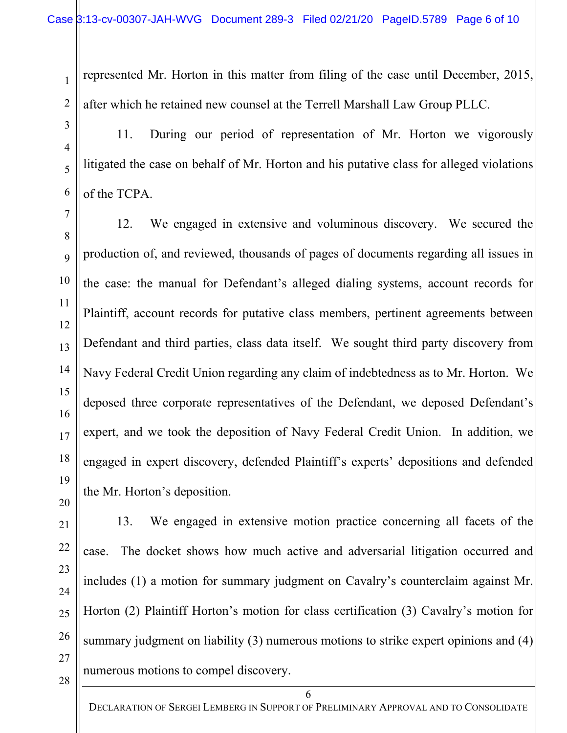represented Mr. Horton in this matter from filing of the case until December, 2015, after which he retained new counsel at the Terrell Marshall Law Group PLLC.

11. During our period of representation of Mr. Horton we vigorously litigated the case on behalf of Mr. Horton and his putative class for alleged violations of the TCPA.

12. We engaged in extensive and voluminous discovery. We secured the production of, and reviewed, thousands of pages of documents regarding all issues in the case: the manual for Defendant's alleged dialing systems, account records for Plaintiff, account records for putative class members, pertinent agreements between Defendant and third parties, class data itself. We sought third party discovery from Navy Federal Credit Union regarding any claim of indebtedness as to Mr. Horton. We deposed three corporate representatives of the Defendant, we deposed Defendant's expert, and we took the deposition of Navy Federal Credit Union. In addition, we engaged in expert discovery, defended Plaintiff's experts' depositions and defended the Mr. Horton's deposition.

 $\overline{2}$  $\overline{1}$  $\overline{2}$  $\overline{a}$  $\overline{a}$  $\overline{a}$  $\overline{a}$  $\overline{a}$  $\overline{1}$ 20 21 22 23 24 25 26 27 28

 $\overline{1}$ 

1

 $\overline{a}$ 

2

 $\overline{a}$ 

3

 $\overline{4}$ 

4

 $\overline{a}$ 

5

6

6

 $\overline{a}$ 

7

 $\overline{a}$ 

8

 $\overline{a}$ 

9

 $\frac{1}{2}$ 

10

|<br>|-<br>|-

11

 $\frac{1}{2}$ 

12

 $\frac{1}{2}$ 

13

 $\frac{1}{2}$ 

14

 $\frac{1}{2}$ 

15

 $\frac{1}{2}$ 

16

 $\frac{1}{2}$ 

17

 $\frac{1}{2}$ 

18

 $\frac{1}{2}$ 

19

13. We engaged in extensive motion practice concerning all facets of the case. The docket shows how much active and adversarial litigation occurred and includes (1) a motion for summary judgment on Cavalry's counterclaim against Mr. Horton (2) Plaintiff Horton's motion for class certification (3) Cavalry's motion for summary judgment on liability (3) numerous motions to strike expert opinions and (4) numerous motions to compel discovery.

6 DECLARATION OF SERGEI LEMBERG IN SUPPORT OF PRELIMINARY APPROVAL AND TO CONSOLIDATE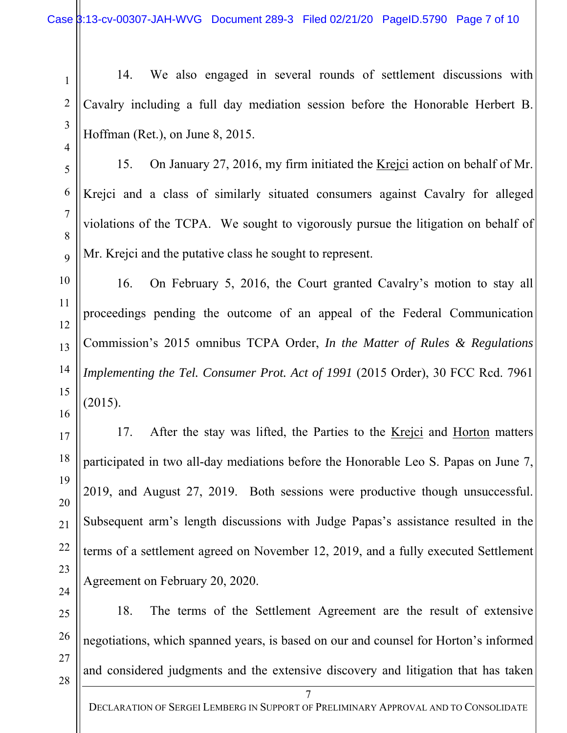14. We also engaged in several rounds of settlement discussions with Cavalry including a full day mediation session before the Honorable Herbert B. Hoffman (Ret.), on June 8, 2015.

15. On January 27, 2016, my firm initiated the Krejci action on behalf of Mr. Krejci and a class of similarly situated consumers against Cavalry for alleged violations of the TCPA. We sought to vigorously pursue the litigation on behalf of Mr. Krejci and the putative class he sought to represent.

16. On February 5, 2016, the Court granted Cavalry's motion to stay all proceedings pending the outcome of an appeal of the Federal Communication Commission's 2015 omnibus TCPA Order, *In the Matter of Rules & Regulations Implementing the Tel. Consumer Prot. Act of 1991* (2015 Order), 30 FCC Rcd. 7961 (2015).

17. After the stay was lifted, the Parties to the Krejci and Horton matters participated in two all-day mediations before the Honorable Leo S. Papas on June 7, 2019, and August 27, 2019. Both sessions were productive though unsuccessful. Subsequent arm's length discussions with Judge Papas's assistance resulted in the terms of a settlement agreed on November 12, 2019, and a fully executed Settlement Agreement on February 20, 2020.

18. The terms of the Settlement Agreement are the result of extensive negotiations, which spanned years, is based on our and counsel for Horton's informed and considered judgments and the extensive discovery and litigation that has taken

7 DECLARATION OF SERGEI LEMBERG IN SUPPORT OF PRELIMINARY APPROVAL AND TO CONSOLIDATE

 $\frac{1}{2}$  $\frac{1}{2}$  $\frac{1}{2}$  $\frac{1}{2}$  $\frac{1}{2}$  $\frac{1}{2}$  $\frac{1}{2}$  $\overline{2}$  $\overline{1}$  $\overline{2}$  $\overline{a}$  $\overline{a}$  $\overline{a}$  $\overline{a}$  $\overline{a}$  $\overline{1}$ 13 14 15 16 17 18 19 20 21 22 23 24 25 26 27 28

 $\overline{1}$ 

1

 $\overline{a}$ 

2

 $\overline{a}$ 

3

 $\overline{4}$ 

4

 $\overline{a}$ 

5

6

6

 $\overline{a}$ 

7

 $\overline{a}$ 

8

 $\overline{a}$ 

9

 $\frac{1}{2}$ 

10

|<br>|-<br>|-

11

 $\frac{1}{2}$ 

12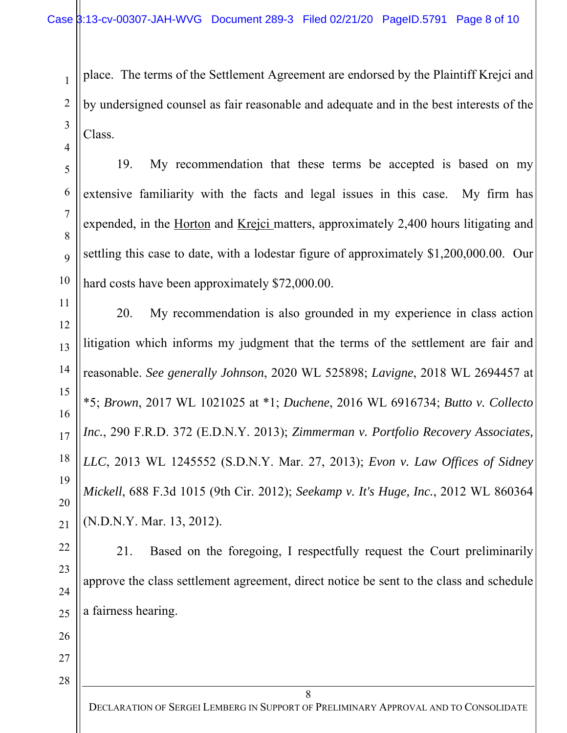place. The terms of the Settlement Agreement are endorsed by the Plaintiff Krejci and by undersigned counsel as fair reasonable and adequate and in the best interests of the Class.

19. My recommendation that these terms be accepted is based on my extensive familiarity with the facts and legal issues in this case. My firm has expended, in the Horton and Krejci matters, approximately 2,400 hours litigating and settling this case to date, with a lodestar figure of approximately \$1,200,000.00. Our hard costs have been approximately \$72,000.00.

20. My recommendation is also grounded in my experience in class action litigation which informs my judgment that the terms of the settlement are fair and reasonable. *See generally Johnson*, 2020 WL 525898; *Lavigne*, 2018 WL 2694457 at \*5; *Brown*, 2017 WL 1021025 at \*1; *Duchene*, 2016 WL 6916734; *Butto v. Collecto Inc.*, 290 F.R.D. 372 (E.D.N.Y. 2013); *Zimmerman v. Portfolio Recovery Associates, LLC*, 2013 WL 1245552 (S.D.N.Y. Mar. 27, 2013); *Evon v. Law Offices of Sidney Mickell*, 688 F.3d 1015 (9th Cir. 2012); *Seekamp v. It's Huge, Inc.*, 2012 WL 860364 (N.D.N.Y. Mar. 13, 2012).

21. Based on the foregoing, I respectfully request the Court preliminarily approve the class settlement agreement, direct notice be sent to the class and schedule a fairness hearing.

 $\overline{a}$  $\overline{a}$  $\overline{a}$ 25 26 27

 $\overline{1}$ 

1

 $\overline{a}$ 

2

 $\overline{a}$ 

3

 $\overline{4}$ 

4

 $\overline{a}$ 

5

6

6

 $\overline{a}$ 

7

 $\overline{a}$ 

8

 $\overline{a}$ 

9

 $\frac{1}{2}$ 

10

|<br>|-<br>|-

11

 $\frac{1}{2}$ 

12

 $\frac{1}{2}$ 

13

 $\frac{1}{2}$ 

14

 $\frac{1}{2}$ 

15

 $\frac{1}{2}$ 

16

 $\frac{1}{2}$ 

17

 $\frac{1}{2}$ 

18

 $\frac{1}{2}$ 

19

 $\overline{2}$ 

20

 $\overline{1}$ 

21

 $\overline{2}$ 

22

 $\overline{a}$ 

23

 $\overline{a}$ 

24

 $\overline{1}$ 28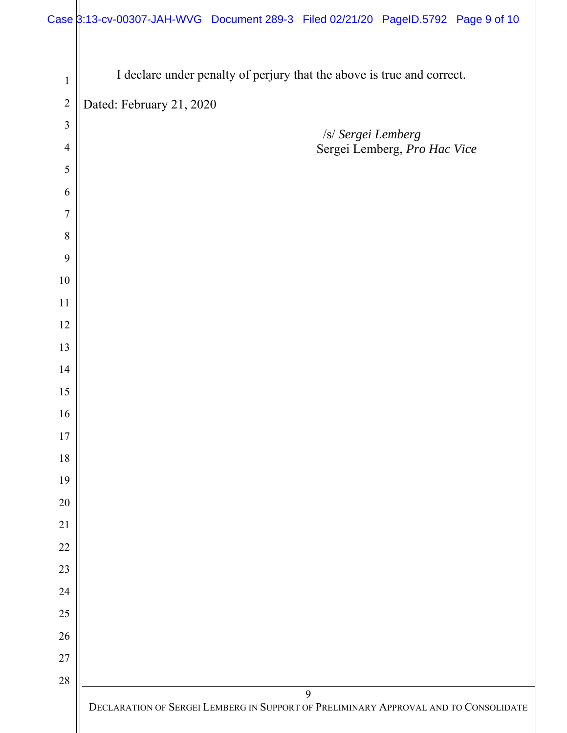| Case 3:13-cv-00307-JAH-WVG Document 289-3 Filed 02/21/20 PageID.5792 Page 9 of 10 |  |  |
|-----------------------------------------------------------------------------------|--|--|

| $\,1$            | I declare under penalty of perjury that the above is true and correct.              |
|------------------|-------------------------------------------------------------------------------------|
| $\sqrt{2}$       | Dated: February 21, 2020                                                            |
| $\overline{3}$   | <b>SI Sergei Lemberg</b>                                                            |
| $\overline{4}$   | Sergei Lemberg, Pro Hac Vice                                                        |
| 5                |                                                                                     |
| 6                |                                                                                     |
| $\boldsymbol{7}$ |                                                                                     |
| 8                |                                                                                     |
| 9                |                                                                                     |
| $10\,$           |                                                                                     |
| $11\,$           |                                                                                     |
| 12               |                                                                                     |
| 13               |                                                                                     |
| 14               |                                                                                     |
| 15               |                                                                                     |
| 16               |                                                                                     |
| $17$             |                                                                                     |
| $18\,$           |                                                                                     |
| 19               |                                                                                     |
| 20               |                                                                                     |
| 21               |                                                                                     |
| 22               |                                                                                     |
| 23               |                                                                                     |
| 24               |                                                                                     |
| 25               |                                                                                     |
| 26               |                                                                                     |
| $27\,$           |                                                                                     |
| $28\,$           | 9                                                                                   |
|                  | DECLARATION OF SERGEI LEMBERG IN SUPPORT OF PRELIMINARY APPROVAL AND TO CONSOLIDATE |